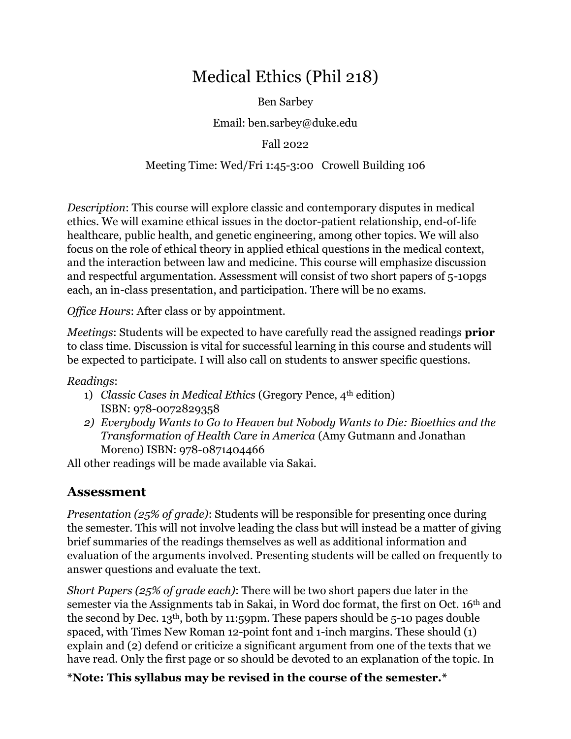# Medical Ethics (Phil 218)

Ben Sarbey

Email: ben.sarbey@duke.edu

Fall 2022

#### Meeting Time: Wed/Fri 1:45-3:00 Crowell Building 106

*Description*: This course will explore classic and contemporary disputes in medical ethics. We will examine ethical issues in the doctor-patient relationship, end-of-life healthcare, public health, and genetic engineering, among other topics. We will also focus on the role of ethical theory in applied ethical questions in the medical context, and the interaction between law and medicine. This course will emphasize discussion and respectful argumentation. Assessment will consist of two short papers of 5-10pgs each, an in-class presentation, and participation. There will be no exams.

*Office Hours*: After class or by appointment.

*Meetings*: Students will be expected to have carefully read the assigned readings **prior** to class time. Discussion is vital for successful learning in this course and students will be expected to participate. I will also call on students to answer specific questions.

*Readings*:

- 1) *Classic Cases in Medical Ethics* (Gregory Pence, 4th edition) ISBN: 978-0072829358
- *2) Everybody Wants to Go to Heaven but Nobody Wants to Die: Bioethics and the Transformation of Health Care in America* (Amy Gutmann and Jonathan Moreno) ISBN: 978-0871404466

All other readings will be made available via Sakai.

## **Assessment**

*Presentation (25% of grade)*: Students will be responsible for presenting once during the semester. This will not involve leading the class but will instead be a matter of giving brief summaries of the readings themselves as well as additional information and evaluation of the arguments involved. Presenting students will be called on frequently to answer questions and evaluate the text.

*Short Papers (25% of grade each)*: There will be two short papers due later in the semester via the Assignments tab in Sakai, in Word doc format, the first on Oct. 16th and the second by Dec. 13th, both by 11:59pm. These papers should be 5-10 pages double spaced, with Times New Roman 12-point font and 1-inch margins. These should (1) explain and (2) defend or criticize a significant argument from one of the texts that we have read. Only the first page or so should be devoted to an explanation of the topic. In

**\*Note: This syllabus may be revised in the course of the semester.\***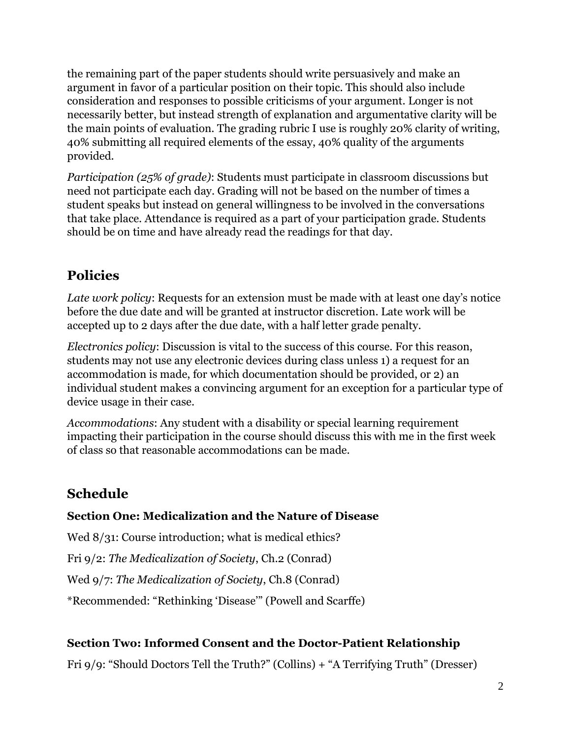the remaining part of the paper students should write persuasively and make an argument in favor of a particular position on their topic. This should also include consideration and responses to possible criticisms of your argument. Longer is not necessarily better, but instead strength of explanation and argumentative clarity will be the main points of evaluation. The grading rubric I use is roughly 20% clarity of writing, 40% submitting all required elements of the essay, 40% quality of the arguments provided.

*Participation (25% of grade)*: Students must participate in classroom discussions but need not participate each day. Grading will not be based on the number of times a student speaks but instead on general willingness to be involved in the conversations that take place. Attendance is required as a part of your participation grade. Students should be on time and have already read the readings for that day.

# **Policies**

*Late work policy*: Requests for an extension must be made with at least one day's notice before the due date and will be granted at instructor discretion. Late work will be accepted up to 2 days after the due date, with a half letter grade penalty.

*Electronics policy*: Discussion is vital to the success of this course. For this reason, students may not use any electronic devices during class unless 1) a request for an accommodation is made, for which documentation should be provided, or 2) an individual student makes a convincing argument for an exception for a particular type of device usage in their case.

*Accommodations*: Any student with a disability or special learning requirement impacting their participation in the course should discuss this with me in the first week of class so that reasonable accommodations can be made.

# **Schedule**

## **Section One: Medicalization and the Nature of Disease**

Wed 8/31: Course introduction; what is medical ethics?

Fri 9/2: *The Medicalization of Society*, Ch.2 (Conrad)

Wed 9/7: *The Medicalization of Society*, Ch.8 (Conrad)

\*Recommended: "Rethinking 'Disease'" (Powell and Scarffe)

## **Section Two: Informed Consent and the Doctor-Patient Relationship**

Fri 9/9: "Should Doctors Tell the Truth?" (Collins) + "A Terrifying Truth" (Dresser)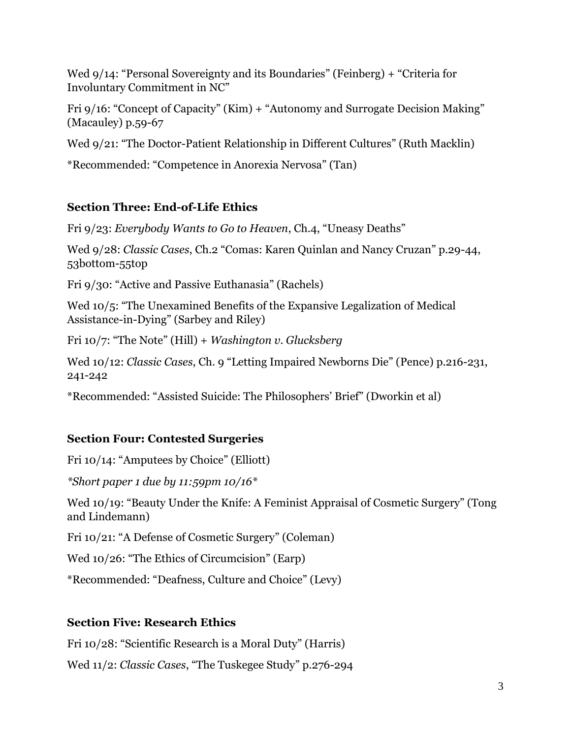Wed 9/14: "Personal Sovereignty and its Boundaries" (Feinberg) + "Criteria for Involuntary Commitment in NC"

Fri 9/16: "Concept of Capacity" (Kim) + "Autonomy and Surrogate Decision Making" (Macauley) p.59-67

Wed 9/21: "The Doctor-Patient Relationship in Different Cultures" (Ruth Macklin)

\*Recommended: "Competence in Anorexia Nervosa" (Tan)

#### **Section Three: End-of-Life Ethics**

Fri 9/23: *Everybody Wants to Go to Heaven*, Ch.4, "Uneasy Deaths"

Wed 9/28: *Classic Cases*, Ch.2 "Comas: Karen Quinlan and Nancy Cruzan" p.29-44, 53bottom-55top

Fri 9/30: "Active and Passive Euthanasia" (Rachels)

Wed 10/5: "The Unexamined Benefits of the Expansive Legalization of Medical Assistance-in-Dying" (Sarbey and Riley)

Fri 10/7: "The Note" (Hill) + *Washington v. Glucksberg*

Wed 10/12: *Classic Cases*, Ch. 9 "Letting Impaired Newborns Die" (Pence) p.216-231, 241-242

\*Recommended: "Assisted Suicide: The Philosophers' Brief" (Dworkin et al)

## **Section Four: Contested Surgeries**

Fri 10/14: "Amputees by Choice" (Elliott)

*\*Short paper 1 due by 11:59pm 10/16\**

Wed 10/19: "Beauty Under the Knife: A Feminist Appraisal of Cosmetic Surgery" (Tong and Lindemann)

Fri 10/21: "A Defense of Cosmetic Surgery" (Coleman)

Wed 10/26: "The Ethics of Circumcision" (Earp)

\*Recommended: "Deafness, Culture and Choice" (Levy)

#### **Section Five: Research Ethics**

Fri 10/28: "Scientific Research is a Moral Duty" (Harris)

Wed 11/2: *Classic Cases*, "The Tuskegee Study" p.276-294